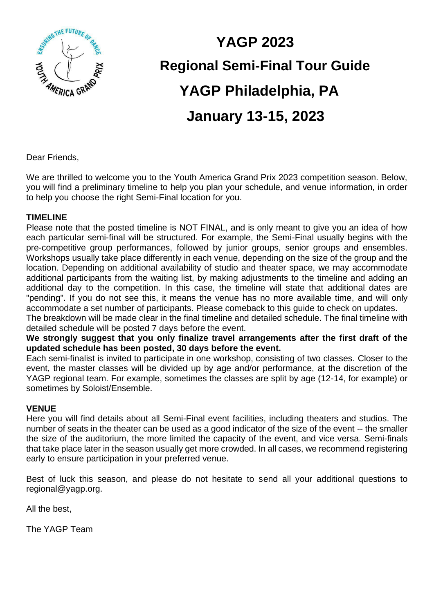

# **YAGP 2023 Regional Semi-Final Tour Guide YAGP Philadelphia, PA January 13-15, 2023**

Dear Friends,

We are thrilled to welcome you to the Youth America Grand Prix 2023 competition season. Below, you will find a preliminary timeline to help you plan your schedule, and venue information, in order to help you choose the right Semi-Final location for you.

#### **TIMELINE**

Please note that the posted timeline is NOT FINAL, and is only meant to give you an idea of how each particular semi-final will be structured. For example, the Semi-Final usually begins with the pre-competitive group performances, followed by junior groups, senior groups and ensembles. Workshops usually take place differently in each venue, depending on the size of the group and the location. Depending on additional availability of studio and theater space, we may accommodate additional participants from the waiting list, by making adjustments to the timeline and adding an additional day to the competition. In this case, the timeline will state that additional dates are "pending". If you do not see this, it means the venue has no more available time, and will only accommodate a set number of participants. Please comeback to this guide to check on updates.

The breakdown will be made clear in the final timeline and detailed schedule. The final timeline with detailed schedule will be posted 7 days before the event.

**We strongly suggest that you only finalize travel arrangements after the first draft of the updated schedule has been posted, 30 days before the event.** 

Each semi-finalist is invited to participate in one workshop, consisting of two classes. Closer to the event, the master classes will be divided up by age and/or performance, at the discretion of the YAGP regional team. For example, sometimes the classes are split by age (12-14, for example) or sometimes by Soloist/Ensemble.

#### **VENUE**

Here you will find details about all Semi-Final event facilities, including theaters and studios. The number of seats in the theater can be used as a good indicator of the size of the event -- the smaller the size of the auditorium, the more limited the capacity of the event, and vice versa. Semi-finals that take place later in the season usually get more crowded. In all cases, we recommend registering early to ensure participation in your preferred venue.

Best of luck this season, and please do not hesitate to send all your additional questions to regional@yagp.org.

All the best,

The YAGP Team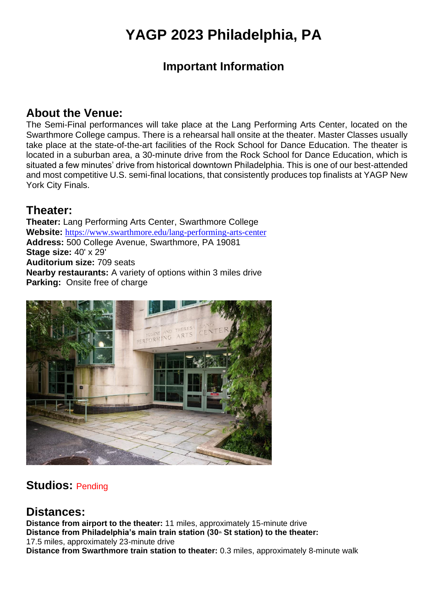# **YAGP 2023 Philadelphia, PA**

## **Important Information**

#### **About the Venue:**

The Semi-Final performances will take place at the Lang Performing Arts Center, located on the Swarthmore College campus. There is a rehearsal hall onsite at the theater. Master Classes usually take place at the state-of-the-art facilities of the Rock School for Dance Education. The theater is located in a suburban area, a 30-minute drive from the Rock School for Dance Education, which is situated a few minutes' drive from historical downtown Philadelphia. This is one of our best-attended and most competitive U.S. semi-final locations, that consistently produces top finalists at YAGP New York City Finals.

#### **Theater:**

**Theater:** Lang Performing Arts Center, Swarthmore College **Website:** <https://www.swarthmore.edu/lang-performing-arts-center> **Address:** 500 College Avenue, Swarthmore, PA 19081 **Stage size:** 40' x 29' **Auditorium size:** 709 seats **Nearby restaurants:** A variety of options within 3 miles drive **Parking:** Onsite free of charge



## **Studios:** Pending

#### **Distances:**

**Distance from airport to the theater:** 11 miles, approximately 15-minute drive **Distance from Philadelphia's main train station (30th St station) to the theater:** 17.5 miles, approximately 23-minute drive **Distance from Swarthmore train station to theater:** 0.3 miles, approximately 8-minute walk